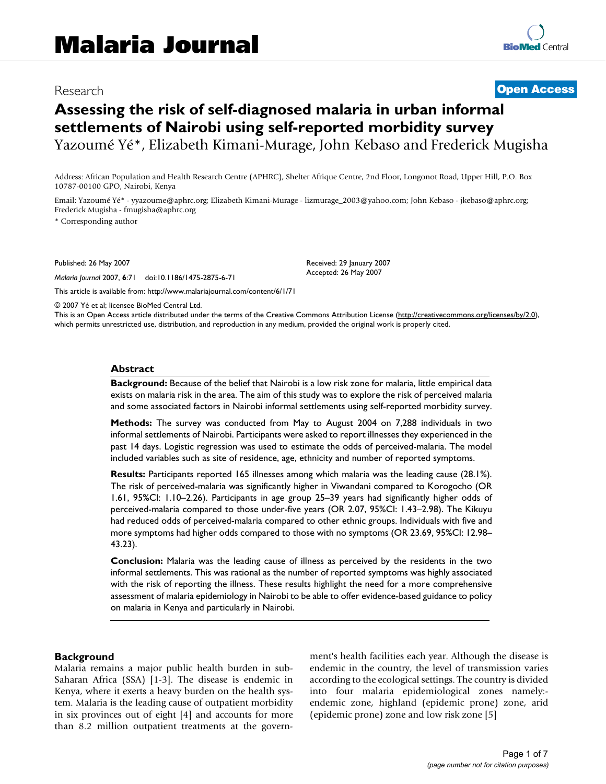# Research **[Open Access](http://www.biomedcentral.com/info/about/charter/)**

# **Assessing the risk of self-diagnosed malaria in urban informal settlements of Nairobi using self-reported morbidity survey** Yazoumé Yé\*, Elizabeth Kimani-Murage, John Kebaso and Frederick Mugisha

Address: African Population and Health Research Centre (APHRC), Shelter Afrique Centre, 2nd Floor, Longonot Road, Upper Hill, P.O. Box 10787-00100 GPO, Nairobi, Kenya

Email: Yazoumé Yé\* - yyazoume@aphrc.org; Elizabeth Kimani-Murage - lizmurage\_2003@yahoo.com; John Kebaso - jkebaso@aphrc.org; Frederick Mugisha - fmugisha@aphrc.org

\* Corresponding author

Published: 26 May 2007

*Malaria Journal* 2007, **6**:71 doi:10.1186/1475-2875-6-71

[This article is available from: http://www.malariajournal.com/content/6/1/71](http://www.malariajournal.com/content/6/1/71)

© 2007 Yé et al; licensee BioMed Central Ltd.

This is an Open Access article distributed under the terms of the Creative Commons Attribution License [\(http://creativecommons.org/licenses/by/2.0\)](http://creativecommons.org/licenses/by/2.0), which permits unrestricted use, distribution, and reproduction in any medium, provided the original work is properly cited.

Received: 29 January 2007 Accepted: 26 May 2007

#### **Abstract**

**Background:** Because of the belief that Nairobi is a low risk zone for malaria, little empirical data exists on malaria risk in the area. The aim of this study was to explore the risk of perceived malaria and some associated factors in Nairobi informal settlements using self-reported morbidity survey.

**Methods:** The survey was conducted from May to August 2004 on 7,288 individuals in two informal settlements of Nairobi. Participants were asked to report illnesses they experienced in the past 14 days. Logistic regression was used to estimate the odds of perceived-malaria. The model included variables such as site of residence, age, ethnicity and number of reported symptoms.

**Results:** Participants reported 165 illnesses among which malaria was the leading cause (28.1%). The risk of perceived-malaria was significantly higher in Viwandani compared to Korogocho (OR 1.61, 95%CI: 1.10–2.26). Participants in age group 25–39 years had significantly higher odds of perceived-malaria compared to those under-five years (OR 2.07, 95%CI: 1.43–2.98). The Kikuyu had reduced odds of perceived-malaria compared to other ethnic groups. Individuals with five and more symptoms had higher odds compared to those with no symptoms (OR 23.69, 95%CI: 12.98– 43.23).

**Conclusion:** Malaria was the leading cause of illness as perceived by the residents in the two informal settlements. This was rational as the number of reported symptoms was highly associated with the risk of reporting the illness. These results highlight the need for a more comprehensive assessment of malaria epidemiology in Nairobi to be able to offer evidence-based guidance to policy on malaria in Kenya and particularly in Nairobi.

#### **Background**

Malaria remains a major public health burden in sub-Saharan Africa (SSA) [1-3]. The disease is endemic in Kenya, where it exerts a heavy burden on the health system. Malaria is the leading cause of outpatient morbidity in six provinces out of eight [4] and accounts for more than 8.2 million outpatient treatments at the government's health facilities each year. Although the disease is endemic in the country, the level of transmission varies according to the ecological settings. The country is divided into four malaria epidemiological zones namely: endemic zone, highland (epidemic prone) zone, arid (epidemic prone) zone and low risk zone [5]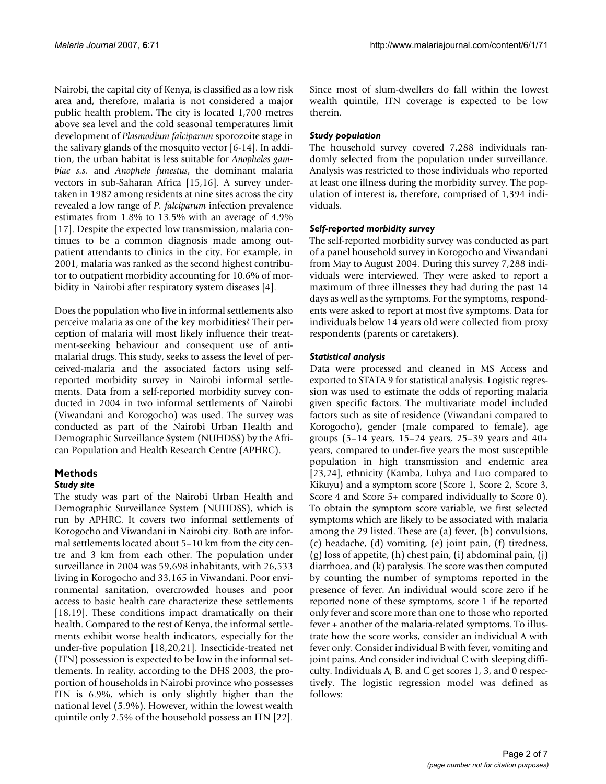Nairobi, the capital city of Kenya, is classified as a low risk area and, therefore, malaria is not considered a major public health problem. The city is located 1,700 metres above sea level and the cold seasonal temperatures limit development of *Plasmodium falciparum* sporozoite stage in the salivary glands of the mosquito vector [6-14]. In addition, the urban habitat is less suitable for *Anopheles gambiae s.s.* and *Anophele funestus*, the dominant malaria vectors in sub-Saharan Africa [15,16]. A survey undertaken in 1982 among residents at nine sites across the city revealed a low range of *P. falciparum* infection prevalence estimates from 1.8% to 13.5% with an average of 4.9% [17]. Despite the expected low transmission, malaria continues to be a common diagnosis made among outpatient attendants to clinics in the city. For example, in 2001, malaria was ranked as the second highest contributor to outpatient morbidity accounting for 10.6% of morbidity in Nairobi after respiratory system diseases [4].

Does the population who live in informal settlements also perceive malaria as one of the key morbidities? Their perception of malaria will most likely influence their treatment-seeking behaviour and consequent use of antimalarial drugs. This study, seeks to assess the level of perceived-malaria and the associated factors using selfreported morbidity survey in Nairobi informal settlements. Data from a self-reported morbidity survey conducted in 2004 in two informal settlements of Nairobi (Viwandani and Korogocho) was used. The survey was conducted as part of the Nairobi Urban Health and Demographic Surveillance System (NUHDSS) by the African Population and Health Research Centre (APHRC).

## **Methods**

#### *Study site*

The study was part of the Nairobi Urban Health and Demographic Surveillance System (NUHDSS), which is run by APHRC. It covers two informal settlements of Korogocho and Viwandani in Nairobi city. Both are informal settlements located about 5–10 km from the city centre and 3 km from each other. The population under surveillance in 2004 was 59,698 inhabitants, with 26,533 living in Korogocho and 33,165 in Viwandani. Poor environmental sanitation, overcrowded houses and poor access to basic health care characterize these settlements [18,19]. These conditions impact dramatically on their health. Compared to the rest of Kenya, the informal settlements exhibit worse health indicators, especially for the under-five population [18,20,21]. Insecticide-treated net (ITN) possession is expected to be low in the informal settlements. In reality, according to the DHS 2003, the proportion of households in Nairobi province who possesses ITN is 6.9%, which is only slightly higher than the national level (5.9%). However, within the lowest wealth quintile only 2.5% of the household possess an ITN [22].

Since most of slum-dwellers do fall within the lowest wealth quintile, ITN coverage is expected to be low therein.

#### *Study population*

The household survey covered 7,288 individuals randomly selected from the population under surveillance. Analysis was restricted to those individuals who reported at least one illness during the morbidity survey. The population of interest is, therefore, comprised of 1,394 individuals.

#### *Self-reported morbidity survey*

The self-reported morbidity survey was conducted as part of a panel household survey in Korogocho and Viwandani from May to August 2004. During this survey 7,288 individuals were interviewed. They were asked to report a maximum of three illnesses they had during the past 14 days as well as the symptoms. For the symptoms, respondents were asked to report at most five symptoms. Data for individuals below 14 years old were collected from proxy respondents (parents or caretakers).

#### *Statistical analysis*

Data were processed and cleaned in MS Access and exported to STATA 9 for statistical analysis. Logistic regression was used to estimate the odds of reporting malaria given specific factors. The multivariate model included factors such as site of residence (Viwandani compared to Korogocho), gender (male compared to female), age groups (5–14 years, 15–24 years, 25–39 years and 40+ years, compared to under-five years the most susceptible population in high transmission and endemic area [23,24], ethnicity (Kamba, Luhya and Luo compared to Kikuyu) and a symptom score (Score 1, Score 2, Score 3, Score 4 and Score 5+ compared individually to Score 0). To obtain the symptom score variable, we first selected symptoms which are likely to be associated with malaria among the 29 listed. These are (a) fever, (b) convulsions, (c) headache, (d) vomiting, (e) joint pain, (f) tiredness, (g) loss of appetite, (h) chest pain, (i) abdominal pain, (j) diarrhoea, and (k) paralysis. The score was then computed by counting the number of symptoms reported in the presence of fever. An individual would score zero if he reported none of these symptoms, score 1 if he reported only fever and score more than one to those who reported fever + another of the malaria-related symptoms. To illustrate how the score works, consider an individual A with fever only. Consider individual B with fever, vomiting and joint pains. And consider individual C with sleeping difficulty. Individuals A, B, and C get scores 1, 3, and 0 respectively. The logistic regression model was defined as follows: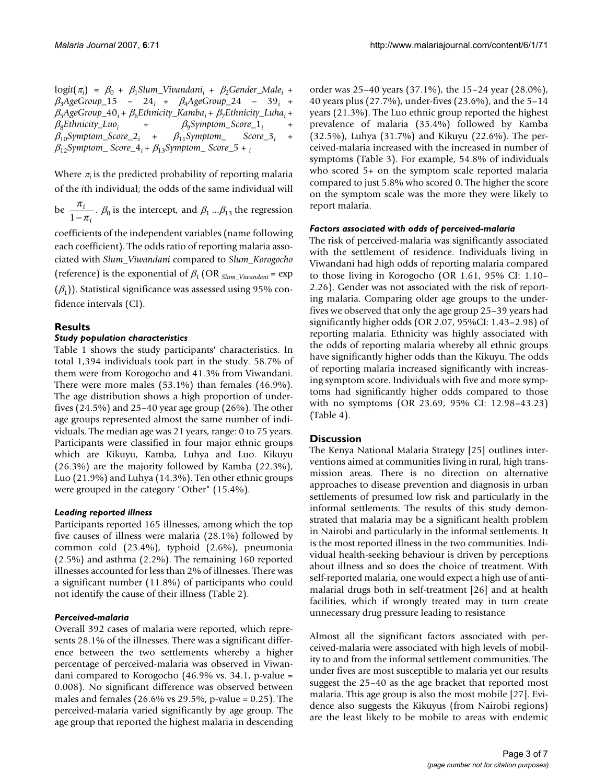$logit(\pi_i) = \beta_0 + \beta_1$ Slum\_Vivandani<sub>i</sub> +  $\beta_2$ Gender\_Male<sub>i</sub> + β3*AgeGroup\_*15 – 24*i* + β4*AgeGroup\_*24 – 39*i* +  $\beta_5$ *AgeGroup\_*40<sub>*i*</sub> +  $\beta_6$ Ethnicity\_Kamba<sub>i</sub> +  $\beta_7$ Ethnicity\_Luha<sub>i</sub> +  $\beta_8$ Ethnicity\_Luo<sub>i</sub> +  $\beta_9$ Symptom\_Score\_1<sub>i</sub> + β8*Ethnicity\_Luoi* + β9*Symptom\_Score\_*1*i* +  $\beta_{10}$ Symptom\_Score\_2<sub>i</sub> +  $\beta_{11}$ Symptom\_ Score\_3<sub>i</sub> +  $\beta_{12}$ *Symptom\_Score\_4<sub>i</sub>* +  $\beta_{13}$ *Symptom\_Score\_5* + *i* 

Where  $\pi$  is the predicted probability of reporting malaria of the *i*th individual; the odds of the same individual will

be  $\frac{\pi_i}{1-\pi}$ .  $\beta_0$  is the intercept, and  $\beta_1 \dots \beta_{13}$  the regression π *i*  $1-\pi_i$ 

coefficients of the independent variables (name following each coefficient). The odds ratio of reporting malaria associated with *Slum\_Viwandani* compared to *Slum\_Korogocho* (reference) is the exponential of β1 (OR *Slum\_Viwandani* = exp  $(\beta_1)$ ). Statistical significance was assessed using 95% confidence intervals (CI).

### **Results**

#### *Study population characteristics*

Table 1 shows the study participants' characteristics. In total 1,394 individuals took part in the study. 58.7% of them were from Korogocho and 41.3% from Viwandani. There were more males (53.1%) than females (46.9%). The age distribution shows a high proportion of underfives (24.5%) and 25–40 year age group (26%). The other age groups represented almost the same number of individuals. The median age was 21 years, range: 0 to 75 years. Participants were classified in four major ethnic groups which are Kikuyu, Kamba, Luhya and Luo. Kikuyu (26.3%) are the majority followed by Kamba (22.3%), Luo (21.9%) and Luhya (14.3%). Ten other ethnic groups were grouped in the category "Other" (15.4%).

#### *Leading reported illness*

Participants reported 165 illnesses, among which the top five causes of illness were malaria (28.1%) followed by common cold (23.4%), typhoid (2.6%), pneumonia (2.5%) and asthma (2.2%). The remaining 160 reported illnesses accounted for less than 2% of illnesses. There was a significant number (11.8%) of participants who could not identify the cause of their illness (Table 2).

#### *Perceived-malaria*

Overall 392 cases of malaria were reported, which represents 28.1% of the illnesses. There was a significant difference between the two settlements whereby a higher percentage of perceived-malaria was observed in Viwandani compared to Korogocho (46.9% vs. 34.1, p-value = 0.008). No significant difference was observed between males and females (26.6% vs 29.5%, p-value = 0.25). The perceived-malaria varied significantly by age group. The age group that reported the highest malaria in descending order was 25–40 years (37.1%), the 15–24 year (28.0%), 40 years plus (27.7%), under-fives (23.6%), and the 5–14 years (21.3%). The Luo ethnic group reported the highest prevalence of malaria (35.4%) followed by Kamba (32.5%), Luhya (31.7%) and Kikuyu (22.6%). The perceived-malaria increased with the increased in number of symptoms (Table 3). For example, 54.8% of individuals who scored 5+ on the symptom scale reported malaria compared to just 5.8% who scored 0. The higher the score on the symptom scale was the more they were likely to report malaria.

#### *Factors associated with odds of perceived-malaria*

The risk of perceived-malaria was significantly associated with the settlement of residence. Individuals living in Viwandani had high odds of reporting malaria compared to those living in Korogocho (OR 1.61, 95% CI: 1.10– 2.26). Gender was not associated with the risk of reporting malaria. Comparing older age groups to the underfives we observed that only the age group 25–39 years had significantly higher odds (OR 2.07, 95%CI: 1.43–2.98) of reporting malaria. Ethnicity was highly associated with the odds of reporting malaria whereby all ethnic groups have significantly higher odds than the Kikuyu. The odds of reporting malaria increased significantly with increasing symptom score. Individuals with five and more symptoms had significantly higher odds compared to those with no symptoms (OR 23.69, 95% CI: 12.98–43.23) (Table 4).

#### **Discussion**

The Kenya National Malaria Strategy [25] outlines interventions aimed at communities living in rural, high transmission areas. There is no direction on alternative approaches to disease prevention and diagnosis in urban settlements of presumed low risk and particularly in the informal settlements. The results of this study demonstrated that malaria may be a significant health problem in Nairobi and particularly in the informal settlements. It is the most reported illness in the two communities. Individual health-seeking behaviour is driven by perceptions about illness and so does the choice of treatment. With self-reported malaria, one would expect a high use of antimalarial drugs both in self-treatment [26] and at health facilities, which if wrongly treated may in turn create unnecessary drug pressure leading to resistance

Almost all the significant factors associated with perceived-malaria were associated with high levels of mobility to and from the informal settlement communities. The under fives are most susceptible to malaria yet our results suggest the 25–40 as the age bracket that reported most malaria. This age group is also the most mobile [27]. Evidence also suggests the Kikuyus (from Nairobi regions) are the least likely to be mobile to areas with endemic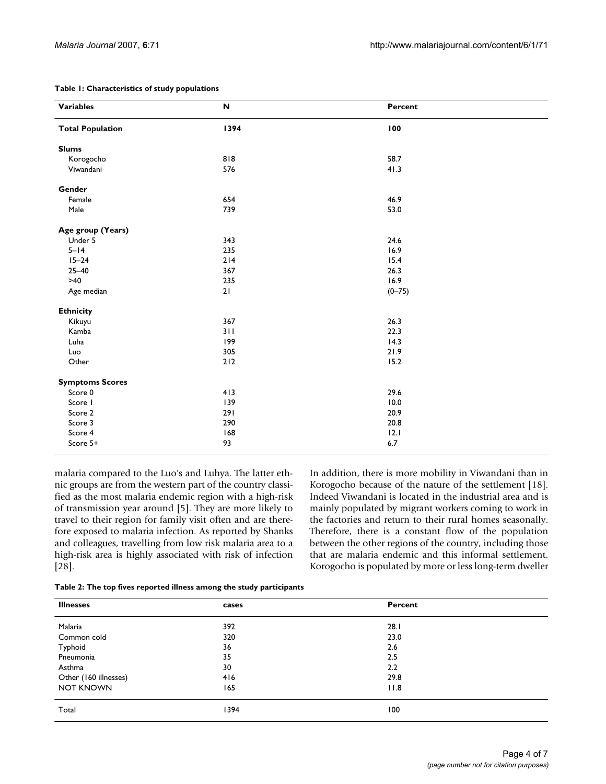| <b>Variables</b>        | $\boldsymbol{\mathsf{N}}$ | Percent    |
|-------------------------|---------------------------|------------|
| <b>Total Population</b> | 1394                      | 100        |
| <b>Slums</b>            |                           |            |
| Korogocho               | 818                       | 58.7       |
| Viwandani               | 576                       | 41.3       |
| Gender                  |                           |            |
| Female                  | 654                       | 46.9       |
| Male                    | 739                       | 53.0       |
| Age group (Years)       |                           |            |
| Under 5                 | 343                       | 24.6       |
| $5 - 14$                | 235                       | 16.9       |
| $15 - 24$               | 214                       | 15.4       |
| $25 - 40$               | 367                       | 26.3       |
| $>40$                   | 235                       | 16.9       |
| Age median              | 21                        | $(0 - 75)$ |
| <b>Ethnicity</b>        |                           |            |
| Kikuyu                  | 367                       | 26.3       |
| Kamba                   | 311                       | 22.3       |
| Luha                    | 199                       | 14.3       |
| Luo                     | 305                       | 21.9       |
| Other                   | 212                       | 15.2       |
| <b>Symptoms Scores</b>  |                           |            |
| Score 0                 | 413                       | 29.6       |
| Score I                 | 139                       | 10.0       |
| Score 2                 | 291                       | 20.9       |
| Score 3                 | 290                       | 20.8       |
| Score 4                 | 168                       | 12.1       |
| Score 5+                | 93                        | 6.7        |

#### **Table 1: Characteristics of study populations**

malaria compared to the Luo's and Luhya. The latter ethnic groups are from the western part of the country classified as the most malaria endemic region with a high-risk of transmission year around [5]. They are more likely to travel to their region for family visit often and are therefore exposed to malaria infection. As reported by Shanks and colleagues, travelling from low risk malaria area to a high-risk area is highly associated with risk of infection [28].

In addition, there is more mobility in Viwandani than in Korogocho because of the nature of the settlement [18]. Indeed Viwandani is located in the industrial area and is mainly populated by migrant workers coming to work in the factories and return to their rural homes seasonally. Therefore, there is a constant flow of the population between the other regions of the country, including those that are malaria endemic and this informal settlement. Korogocho is populated by more or less long-term dweller

|  | Table 2: The top fives reported illness among the study participants |  |
|--|----------------------------------------------------------------------|--|
|--|----------------------------------------------------------------------|--|

| <b>Illnesses</b>      | cases | Percent |  |
|-----------------------|-------|---------|--|
| Malaria               | 392   | 28.1    |  |
| Common cold           | 320   | 23.0    |  |
| Typhoid               | 36    | 2.6     |  |
| Pneumonia             | 35    | 2.5     |  |
| Asthma                | 30    | 2.2     |  |
| Other (160 illnesses) | 416   | 29.8    |  |
| <b>NOT KNOWN</b>      | 165   | 11.8    |  |
| Total                 | 1394  | 100     |  |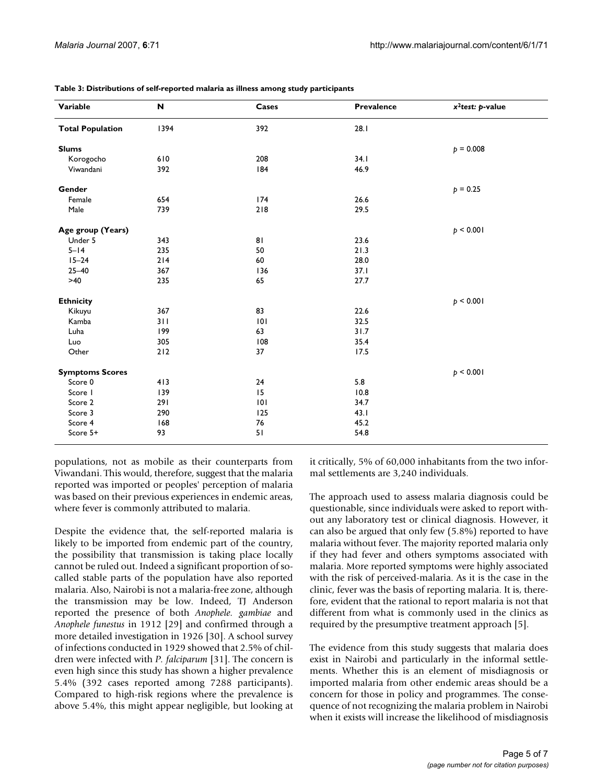| Variable                | N    | Cases | <b>Prevalence</b> | $x^2$ test: p-value |
|-------------------------|------|-------|-------------------|---------------------|
| <b>Total Population</b> | 1394 | 392   | 28.1              |                     |
| <b>Slums</b>            |      |       |                   | $p = 0.008$         |
| Korogocho               | 610  | 208   | 34.1              |                     |
| Viwandani               | 392  | 184   | 46.9              |                     |
| Gender                  |      |       |                   | $p = 0.25$          |
| Female                  | 654  | 174   | 26.6              |                     |
| Male                    | 739  | 218   | 29.5              |                     |
| Age group (Years)       |      |       |                   | p < 0.001           |
| Under 5                 | 343  | 81    | 23.6              |                     |
| $5 - 14$                | 235  | 50    | 21.3              |                     |
| $15 - 24$               | 214  | 60    | 28.0              |                     |
| $25 - 40$               | 367  | 136   | 37.1              |                     |
| $>40$                   | 235  | 65    | 27.7              |                     |
| <b>Ethnicity</b>        |      |       |                   | p < 0.001           |
| Kikuyu                  | 367  | 83    | 22.6              |                     |
| Kamba                   | 311  | 101   | 32.5              |                     |
| Luha                    | 199  | 63    | 31.7              |                     |
| Luo                     | 305  | 108   | 35.4              |                     |
| Other                   | 212  | 37    | 17.5              |                     |
| <b>Symptoms Scores</b>  |      |       |                   | p < 0.001           |
| Score 0                 | 413  | 24    | 5.8               |                     |
| Score I                 | 139  | 15    | 10.8              |                     |
| Score 2                 | 291  | 0     | 34.7              |                     |
| Score 3                 | 290  | 125   | 43.1              |                     |
| Score 4                 | 168  | 76    | 45.2              |                     |
| Score 5+                | 93   | 51    | 54.8              |                     |

**Table 3: Distributions of self-reported malaria as illness among study participants**

populations, not as mobile as their counterparts from Viwandani. This would, therefore, suggest that the malaria reported was imported or peoples' perception of malaria was based on their previous experiences in endemic areas, where fever is commonly attributed to malaria.

Despite the evidence that, the self-reported malaria is likely to be imported from endemic part of the country, the possibility that transmission is taking place locally cannot be ruled out. Indeed a significant proportion of socalled stable parts of the population have also reported malaria. Also, Nairobi is not a malaria-free zone, although the transmission may be low. Indeed, TJ Anderson reported the presence of both *Anophele. gambiae* and *Anophele funestus* in 1912 [29] and confirmed through a more detailed investigation in 1926 [30]. A school survey of infections conducted in 1929 showed that 2.5% of children were infected with *P. falciparum* [31]. The concern is even high since this study has shown a higher prevalence 5.4% (392 cases reported among 7288 participants). Compared to high-risk regions where the prevalence is above 5.4%, this might appear negligible, but looking at it critically, 5% of 60,000 inhabitants from the two informal settlements are 3,240 individuals.

The approach used to assess malaria diagnosis could be questionable, since individuals were asked to report without any laboratory test or clinical diagnosis. However, it can also be argued that only few (5.8%) reported to have malaria without fever. The majority reported malaria only if they had fever and others symptoms associated with malaria. More reported symptoms were highly associated with the risk of perceived-malaria. As it is the case in the clinic, fever was the basis of reporting malaria. It is, therefore, evident that the rational to report malaria is not that different from what is commonly used in the clinics as required by the presumptive treatment approach [5].

The evidence from this study suggests that malaria does exist in Nairobi and particularly in the informal settlements. Whether this is an element of misdiagnosis or imported malaria from other endemic areas should be a concern for those in policy and programmes. The consequence of not recognizing the malaria problem in Nairobi when it exists will increase the likelihood of misdiagnosis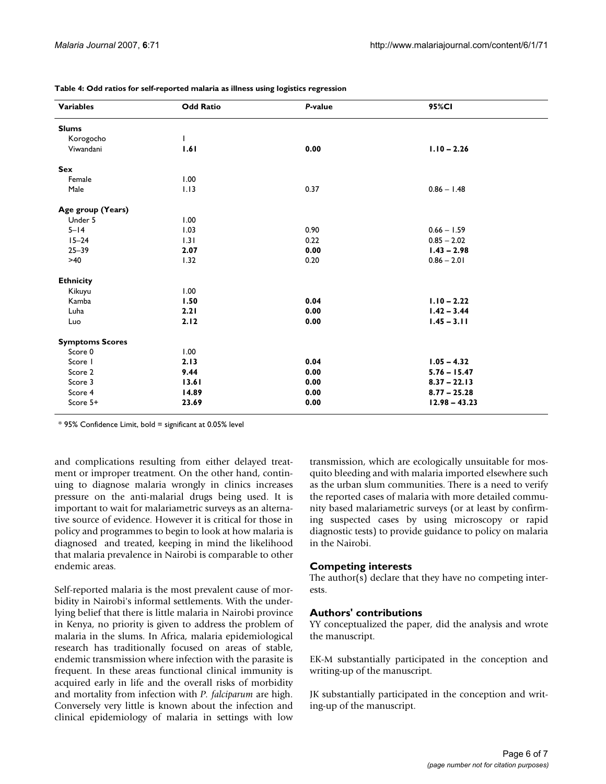| <b>Variables</b>       | <b>Odd Ratio</b> | P-value | 95%CI           |
|------------------------|------------------|---------|-----------------|
| <b>Slums</b>           |                  |         |                 |
| Korogocho              |                  |         |                 |
| Viwandani              | 1.61             | 0.00    | $1.10 - 2.26$   |
| Sex                    |                  |         |                 |
| Female                 | 1.00             |         |                 |
| Male                   | 1.13             | 0.37    | $0.86 - 1.48$   |
| Age group (Years)      |                  |         |                 |
| Under 5                | 1.00             |         |                 |
| $5 - 14$               | 1.03             | 0.90    | $0.66 - 1.59$   |
| $15 - 24$              | 1.31             | 0.22    | $0.85 - 2.02$   |
| $25 - 39$              | 2.07             | 0.00    | $1.43 - 2.98$   |
| $>40$                  | 1.32             | 0.20    | $0.86 - 2.01$   |
| <b>Ethnicity</b>       |                  |         |                 |
| Kikuyu                 | 1.00             |         |                 |
| Kamba                  | 1.50             | 0.04    | $1.10 - 2.22$   |
| Luha                   | 2.21             | 0.00    | $1.42 - 3.44$   |
| Luo                    | 2.12             | 0.00    | $1.45 - 3.11$   |
| <b>Symptoms Scores</b> |                  |         |                 |
| Score 0                | 1.00             |         |                 |
| Score I                | 2.13             | 0.04    | $1.05 - 4.32$   |
| Score 2                | 9.44             | 0.00    | $5.76 - 15.47$  |
| Score 3                | 13.61            | 0.00    | $8.37 - 22.13$  |
| Score 4                | 14.89            | 0.00    | $8.77 - 25.28$  |
| Score 5+               | 23.69            | 0.00    | $12.98 - 43.23$ |

**Table 4: Odd ratios for self-reported malaria as illness using logistics regression**

\* 95% Confidence Limit, bold = significant at 0.05% level

and complications resulting from either delayed treatment or improper treatment. On the other hand, continuing to diagnose malaria wrongly in clinics increases pressure on the anti-malarial drugs being used. It is important to wait for malariametric surveys as an alternative source of evidence. However it is critical for those in policy and programmes to begin to look at how malaria is diagnosed and treated, keeping in mind the likelihood that malaria prevalence in Nairobi is comparable to other endemic areas.

Self-reported malaria is the most prevalent cause of morbidity in Nairobi's informal settlements. With the underlying belief that there is little malaria in Nairobi province in Kenya, no priority is given to address the problem of malaria in the slums. In Africa, malaria epidemiological research has traditionally focused on areas of stable, endemic transmission where infection with the parasite is frequent. In these areas functional clinical immunity is acquired early in life and the overall risks of morbidity and mortality from infection with *P. falciparum* are high. Conversely very little is known about the infection and clinical epidemiology of malaria in settings with low

transmission, which are ecologically unsuitable for mosquito bleeding and with malaria imported elsewhere such as the urban slum communities. There is a need to verify the reported cases of malaria with more detailed community based malariametric surveys (or at least by confirming suspected cases by using microscopy or rapid diagnostic tests) to provide guidance to policy on malaria in the Nairobi.

#### **Competing interests**

The author(s) declare that they have no competing interests.

#### **Authors' contributions**

YY conceptualized the paper, did the analysis and wrote the manuscript.

EK-M substantially participated in the conception and writing-up of the manuscript.

JK substantially participated in the conception and writing-up of the manuscript.